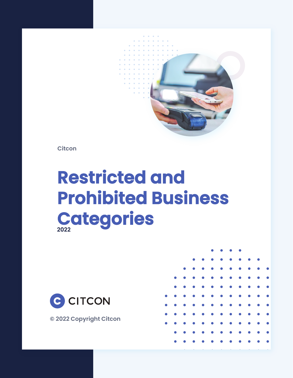

**Citcon**

# **Restricted and Prohibited Business Categories 2022**



**© 2022 Copyright Citcon**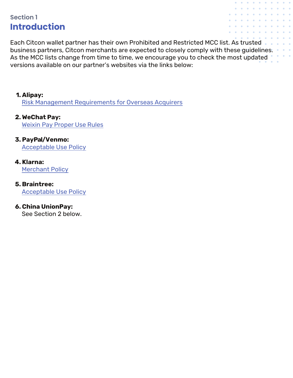### **Section 1 Introduction**

Each Citcon wallet partner has their own Prohibited and Restricted MCC list. As trusted business partners, Citcon merchants are expected to closely comply with these guidelines. As the MCC lists change from time to time, we encourage you to check the most updated versions available on our partner's websites via the links below:

#### **1. Alipay:**

[Risk Management Requirements for Overseas Acquirers](https://global.alipay.com/docs/ac/Platform/le18gg)

#### **2. WeChat Pay:** [Weixin Pay Proper Use Rules](https://pay.weixin.qq.com/index.php/public/wechatpay_en/proper_rule)

#### **3. PayPal/Venmo:**

[Acceptable Use Policy](https://www.paypal.com/us/webapps/mpp/ua/acceptableuse-full)

#### **4. Klarna:**

[Merchant Policy](https://cdn.klarna.com/1.0/shared/content/policy/ethic/en_gb/merchant.pdf)

#### **5. Braintree:**

[Acceptable Use Policy](https://www.braintreepayments.com/legal/acceptable-use-policy)

#### **6. China UnionPay:**

See Section 2 below.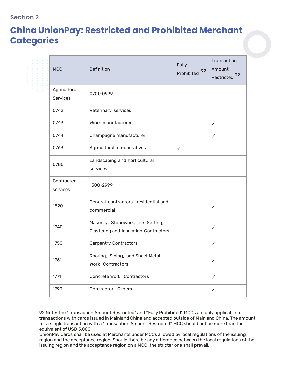#### **Section 2**

## **China UnionPay: Restricted and Prohibited Merchant Categories**

| <b>MCC</b>                      | Definition                                                                 |              | Transaction<br>Amount<br>Restricted <sup>92</sup> |
|---------------------------------|----------------------------------------------------------------------------|--------------|---------------------------------------------------|
| Agricultural<br><b>Services</b> | 0700-0999                                                                  |              |                                                   |
| 0742                            | Veterinary services                                                        |              |                                                   |
| 0743                            | Wine manufacturer                                                          |              | $\checkmark$                                      |
| 0744                            | Champagne manufacturer                                                     |              | $\checkmark$                                      |
| 0763                            | Agricultural co-operatives                                                 | $\checkmark$ |                                                   |
| 0780                            | Landscaping and horticultural<br>services                                  |              |                                                   |
| Contracted<br>services          | 1500-2999                                                                  |              |                                                   |
| 1520                            | General contractors - residential and<br>commercial                        |              | $\checkmark$                                      |
| 1740                            | Masonry, Stonework, Tile Setting,<br>Plastering and Insulation Contractors |              | $\checkmark$                                      |
| 1750                            | <b>Carpentry Contractors</b>                                               |              | $\checkmark$                                      |
| 1761                            | Roofing, Siding, and Sheet Metal<br>Work Contractors                       |              | $\checkmark$                                      |
| 1771                            | Concrete Work Contractors                                                  |              | $\checkmark$                                      |
| 1799                            | Contractor - Others                                                        |              | $\checkmark$                                      |

92 Note: The "Transaction Amount Restricted" and "Fully Prohibited" MCCs are only applicable to transactions with cards issued in Mainland China and accepted outside of Mainland China. The amount for a single transaction with a "Transaction Amount Restricted" MCC should not be more than the equivalent of USD 5,000.

UnionPay Cards shall be used at Merchants under MCCs allowed by local regulations of the issuing region and the acceptance region. Should there be any difference between the local regulations of the issuing region and the acceptance region on a MCC, the stricter one shall prevail.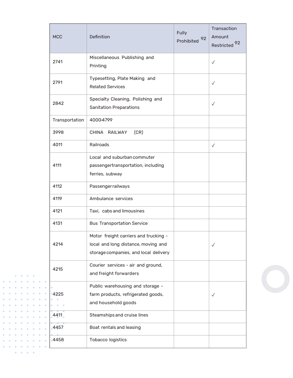| <b>MCC</b>     | Definition                                                                                                            | Fully<br>92<br>Prohibited | Transaction<br>Amount<br>Restricted <sup>92</sup> |
|----------------|-----------------------------------------------------------------------------------------------------------------------|---------------------------|---------------------------------------------------|
| 2741           | Miscellaneous Publishing and<br>Printing                                                                              |                           | $\checkmark$                                      |
| 2791           | Typesetting, Plate Making and<br><b>Related Services</b>                                                              |                           | $\checkmark$                                      |
| 2842           | Specialty Cleaning, Polishing and<br><b>Sanitation Preparations</b>                                                   |                           | $\checkmark$                                      |
| Transportation | 4000-4799                                                                                                             |                           |                                                   |
| 3998           | CHINA RAILWAY<br>(CR)                                                                                                 |                           |                                                   |
| 4011           | Railroads                                                                                                             |                           | $\checkmark$                                      |
| 4111           | Local and suburban commuter<br>passengertransportation, including<br>ferries, subway                                  |                           |                                                   |
| 4112           | Passengerrailways                                                                                                     |                           |                                                   |
| 4119           | Ambulance services                                                                                                    |                           |                                                   |
| 4121           | Taxi, cabs and limousines                                                                                             |                           |                                                   |
| 4131           | <b>Bus Transportation Service</b>                                                                                     |                           |                                                   |
| 4214           | Motor freight carriers and trucking -<br>local and long distance, moving and<br>storage companies, and local delivery |                           | $\checkmark$                                      |
| 4215           | Courier services - air and ground,<br>and freight forwarders                                                          |                           |                                                   |
|                | Public warehousing and storage -                                                                                      |                           |                                                   |
| 4225           | farm products, refrigerated goods,                                                                                    |                           | $\checkmark$                                      |
|                | and household goods                                                                                                   |                           |                                                   |
| 4411.          | Steamships and cruise lines                                                                                           |                           |                                                   |
| 4457           | Boat rentals and leasing                                                                                              |                           |                                                   |
| 4458           | Tobacco logistics                                                                                                     |                           |                                                   |

 $\begin{array}{cccccccccc} \bullet & \bullet & \bullet & \bullet & \bullet & \bullet \end{array}$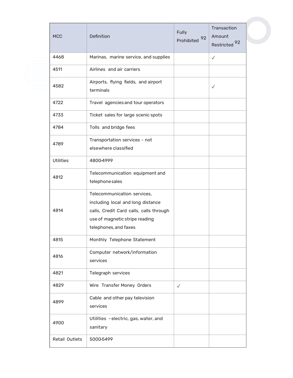| <b>MCC</b>       | Definition                                                                                                                                                             | Fully<br>92<br>Prohibited | Transaction<br>Amount<br>Restricted <sup>92</sup> |
|------------------|------------------------------------------------------------------------------------------------------------------------------------------------------------------------|---------------------------|---------------------------------------------------|
| 4468             | Marinas, marine service, and supplies                                                                                                                                  |                           | $\checkmark$                                      |
| 4511             | Airlines and air carriers                                                                                                                                              |                           |                                                   |
| 4582             | Airports, flying fields, and airport<br>terminals                                                                                                                      |                           | $\checkmark$                                      |
| 4722             | Travel agencies and tour operators                                                                                                                                     |                           |                                                   |
| 4733             | Ticket sales for large scenic spots                                                                                                                                    |                           |                                                   |
| 4784             | Tolls and bridge fees                                                                                                                                                  |                           |                                                   |
| 4789             | Transportation services - not<br>elsewhere classified                                                                                                                  |                           |                                                   |
| <b>Utilities</b> | 4800-4999                                                                                                                                                              |                           |                                                   |
| 4812             | Telecommunication equipment and<br>telephone sales                                                                                                                     |                           |                                                   |
| 4814             | Telecommunication services,<br>including local and long distance<br>calls, Credit Card calls, calls through<br>use of magnetic stripe reading<br>telephones, and faxes |                           |                                                   |
| 4815             | Monthly Telephone Statement                                                                                                                                            |                           |                                                   |
| 4816             | Computer network/information<br>services                                                                                                                               |                           |                                                   |
| 4821             | Telegraph services                                                                                                                                                     |                           |                                                   |
| 4829             | Wire Transfer Money Orders                                                                                                                                             | $\checkmark$              |                                                   |
| 4899             | Cable and other pay television<br>services                                                                                                                             |                           |                                                   |
| 4900             | Utilities - electric, gas, water, and<br>sanitary                                                                                                                      |                           |                                                   |
| Retail Outlets   | 5000-5499                                                                                                                                                              |                           |                                                   |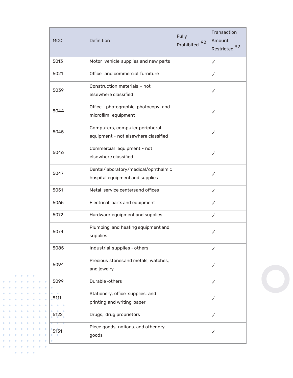| <b>MCC</b> | Definition                                                              | Fully<br>92<br>Prohibited | Transaction<br>Amount<br>92<br>Restricted |
|------------|-------------------------------------------------------------------------|---------------------------|-------------------------------------------|
| 5013       | Motor vehicle supplies and new parts                                    |                           | $\checkmark$                              |
| 5021       | Office and commercial furniture                                         |                           | $\checkmark$                              |
| 5039       | Construction materials - not<br>elsewhere classified                    |                           | $\checkmark$                              |
| 5044       | Office, photographic, photocopy, and<br>microfilm equipment             |                           | $\checkmark$                              |
| 5045       | Computers, computer peripheral<br>equipment - not elsewhere classified  |                           | $\checkmark$                              |
| 5046       | Commercial equipment - not<br>elsewhere classified                      |                           | $\checkmark$                              |
| 5047       | Dental/laboratory/medical/ophthalmic<br>hospital equipment and supplies |                           | $\checkmark$                              |
| 5051       | Metal service centersand offices                                        |                           | $\checkmark$                              |
| 5065       | Electrical parts and equipment                                          |                           | $\checkmark$                              |
| 5072       | Hardware equipment and supplies                                         |                           | $\checkmark$                              |
| 5074       | Plumbing and heating equipment and<br>supplies                          |                           | $\checkmark$                              |
| 5085       | Industrial supplies - others                                            |                           | $\checkmark$                              |
| 5094       | Precious stones and metals, watches,<br>and jewelry                     |                           | $\checkmark$                              |
| 5099       | Durable-others                                                          |                           | $\checkmark$                              |
| 5111       | Stationery, office supplies, and<br>printing and writing paper          |                           | $\checkmark$                              |
| 5122       | Drugs, drug proprietors                                                 |                           | $\checkmark$                              |
| 5131       | Piece goods, notions, and other dry<br>goods                            |                           | $\checkmark$                              |

 $\begin{array}{cccccccccc} \bullet & \bullet & \bullet & \bullet & \bullet & \bullet \end{array}$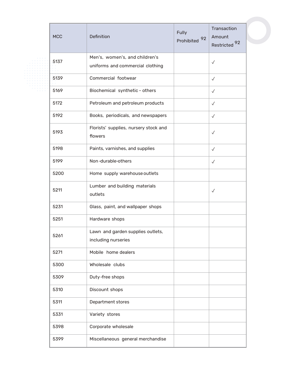| <b>MCC</b> | Definition                                                         | Fully<br>92<br>Prohibited | Transaction<br>Amount<br>Restricted <sup>92</sup> |
|------------|--------------------------------------------------------------------|---------------------------|---------------------------------------------------|
| 5137       | Men's, women's, and children's<br>uniforms and commercial clothing |                           | $\checkmark$                                      |
| 5139       | Commercial footwear                                                |                           | $\checkmark$                                      |
| 5169       | Biochemical synthetic - others                                     |                           | $\checkmark$                                      |
| 5172       | Petroleum and petroleum products                                   |                           | $\checkmark$                                      |
| 5192       | Books, periodicals, and newspapers                                 |                           | $\checkmark$                                      |
| 5193       | Florists' supplies, nursery stock and<br>flowers                   |                           | $\checkmark$                                      |
| 5198       | Paints, varnishes, and supplies                                    |                           | $\checkmark$                                      |
| 5199       | Non-durable-others                                                 |                           | $\checkmark$                                      |
| 5200       | Home supply warehouse outlets                                      |                           |                                                   |
| 5211       | Lumber and building materials<br>outlets                           |                           | $\checkmark$                                      |
| 5231       | Glass, paint, and wallpaper shops                                  |                           |                                                   |
| 5251       | Hardware shops                                                     |                           |                                                   |
| 5261       | Lawn and garden supplies outlets,<br>including nurseries           |                           |                                                   |
| 5271       | Mobile home dealers                                                |                           |                                                   |
| 5300       | Wholesale clubs                                                    |                           |                                                   |
| 5309       | Duty-free shops                                                    |                           |                                                   |
| 5310       | Discount shops                                                     |                           |                                                   |
| 5311       | Department stores                                                  |                           |                                                   |
| 5331       | Variety stores                                                     |                           |                                                   |
| 5398       | Corporate wholesale                                                |                           |                                                   |
| 5399       | Miscellaneous general merchandise                                  |                           |                                                   |
|            |                                                                    |                           |                                                   |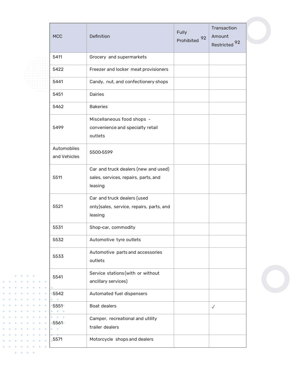| <b>MCC</b>                  | Definition                                                                              | Fully<br>92<br>Prohibited | Transaction<br>Amount<br>Restricted <sup>92</sup> |
|-----------------------------|-----------------------------------------------------------------------------------------|---------------------------|---------------------------------------------------|
| 5411                        | Grocery and supermarkets                                                                |                           |                                                   |
| 5422                        | Freezer and locker meat provisioners                                                    |                           |                                                   |
| 5441                        | Candy, nut, and confectionery shops                                                     |                           |                                                   |
| 5451                        | <b>Dairies</b>                                                                          |                           |                                                   |
| 5462                        | <b>Bakeries</b>                                                                         |                           |                                                   |
| 5499                        | Miscellaneous food shops -<br>convenience and specialty retail<br>outlets               |                           |                                                   |
| Automobiles<br>and Vehicles | 5500-5599                                                                               |                           |                                                   |
| 5511                        | Car and truck dealers (new and used)<br>sales, services, repairs, parts, and<br>leasing |                           |                                                   |
| 5521                        | Car and truck dealers (used<br>only)sales, service, repairs, parts, and<br>leasing      |                           |                                                   |
| 5531                        | Shop-car, commodity                                                                     |                           |                                                   |
| 5532                        | Automotive tyre outlets                                                                 |                           |                                                   |
| 5533                        | Automotive parts and accessories<br>outlets                                             |                           |                                                   |
| 5541                        | Service stations (with or without<br>ancillary services)                                |                           |                                                   |
| 5542                        | Automated fuel dispensers                                                               |                           |                                                   |
| 5551<br>$\bullet$           | Boat dealers                                                                            |                           | $\checkmark$                                      |
| $\bullet$ $\bullet$<br>5561 | Camper, recreational and utility<br>trailer dealers                                     |                           |                                                   |
| 5571                        | Motorcycle shops and dealers                                                            |                           |                                                   |

 $\ddot{\bullet}$  $\bullet$  $\bullet$ ċ

 $\bullet$  $\bullet$  $\bullet$  $\bullet$ 

 $\bullet$ 

 $\bullet$  $\bullet$  $\bullet$  $\bullet$ 

 $\ddot{\bullet}$  $\bullet$  $\bullet$ ö

 $\bullet$  $\bullet$  $\bullet$  $\ddot{\bullet}$ 

 $\bullet$  $\bullet$ 

 $\bullet$ 

 $\bullet$  $\bullet$ 

 $\bullet$  $\bullet$  $\bullet$ 

 $\ddot{\bullet}$ 

 $\bullet$  $\bullet$ 

 $\alpha$ 

 $\bullet$ 

 $\bullet$ 

 $\bullet$  $\bullet$  $\bullet$ 

 $\ddot{\phantom{a}}$ ٠  $\bullet$  $\bullet$  $\bullet$  $\bullet$ 

 $\bullet$ 

 $\bullet$ 

 $\bullet$ 

 $\hat{\mathbf{o}}$ 

 $\bullet$ ö  $\bullet$  $\bullet$  $\bullet$  $\bullet$ 

 $\ddot{\bullet}$ 

 $\bullet$ ö  $\bullet$  $\bullet$  $\bullet$  $\bullet$ 

 $\hat{\mathbf{a}}$  $\bullet$  $\bullet$  $\bullet$  $\bullet$ 

 $\bullet$  $\bullet$ 

ö

 $\bullet$  $\ddot{\phantom{a}}$ 

ö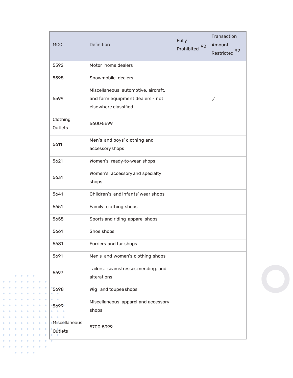| <b>MCC</b>               | Definition                                                                                      | Fully<br>92<br>Prohibited | Transaction<br>Amount<br>Restricted <sup>92</sup> |
|--------------------------|-------------------------------------------------------------------------------------------------|---------------------------|---------------------------------------------------|
| 5592                     | Motor home dealers                                                                              |                           |                                                   |
| 5598                     | Snowmobile dealers                                                                              |                           |                                                   |
| 5599                     | Miscellaneous automotive, aircraft,<br>and farm equipment dealers - not<br>elsewhere classified |                           | $\checkmark$                                      |
| Clothing<br>Outlets      | 5600-5699                                                                                       |                           |                                                   |
| 5611                     | Men's and boys' clothing and<br>accessoryshops                                                  |                           |                                                   |
| 5621                     | Women's ready-to-wear shops                                                                     |                           |                                                   |
| 5631                     | Women's accessory and specialty<br>shops                                                        |                           |                                                   |
| 5641                     | Children's and infants' wear shops                                                              |                           |                                                   |
| 5651                     | Family clothing shops                                                                           |                           |                                                   |
| 5655                     | Sports and riding apparel shops                                                                 |                           |                                                   |
| 5661                     | Shoe shops                                                                                      |                           |                                                   |
| 5681                     | Furriers and fur shops                                                                          |                           |                                                   |
| 5691                     | Men's and women's clothing shops                                                                |                           |                                                   |
| 5697                     | Tailors, seamstresses, mending, and<br>alterations                                              |                           |                                                   |
| 5698                     | Wig and toupee shops                                                                            |                           |                                                   |
| 5699<br>$\bullet$        | Miscellaneous apparel and accessory<br>shops                                                    |                           |                                                   |
| Miscellaneous<br>Outlets | 5700-5999                                                                                       |                           |                                                   |

 $\begin{array}{cccccccccc} \bullet & \bullet & \bullet & \bullet & \bullet & \bullet \end{array}$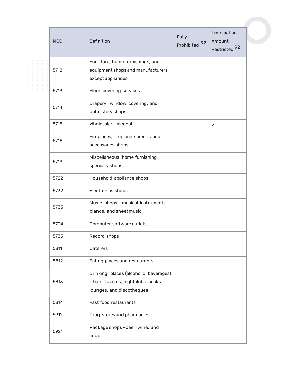|            |      |                                       |                        | Transaction                        |
|------------|------|---------------------------------------|------------------------|------------------------------------|
| <b>MCC</b> |      | <b>Definition</b>                     | Fully<br>Prohibited 92 | Amount<br>Restricted <sup>92</sup> |
|            |      | Furniture, home furnishings, and      |                        |                                    |
| 5712       |      | equipment shops and manufacturers,    |                        |                                    |
|            |      | except appliances                     |                        |                                    |
| 5713       |      | Floor covering services               |                        |                                    |
|            |      | Drapery, window covering, and         |                        |                                    |
| 5714       |      | upholstery shops                      |                        |                                    |
| 5715       |      | Wholesaler - alcohol                  |                        | $\checkmark$                       |
|            |      | Fireplaces, fireplace screens, and    |                        |                                    |
| 5718       |      | accessories shops                     |                        |                                    |
|            |      | Miscellaneous home furnishing         |                        |                                    |
| 5719       |      | specialty shops                       |                        |                                    |
| 5722       |      | Household appliance shops             |                        |                                    |
| 5732       |      | Electronics shops                     |                        |                                    |
|            |      | Music shops - musical instruments,    |                        |                                    |
| 5733       |      | pianos, and sheet music               |                        |                                    |
| 5734       |      | Computer software outlets             |                        |                                    |
|            | 5735 | Record shops                          |                        |                                    |
| 5811       |      | Caterers                              |                        |                                    |
| 5812       |      | Eating places and restaurants         |                        |                                    |
|            |      | Drinking places (alcoholic beverages) |                        |                                    |
| 5813       |      | - bars, taverns, nightclubs, cocktail |                        |                                    |
|            |      | lounges, and discotheques             |                        |                                    |
| 5814       |      | Fast food restaurants                 |                        |                                    |
| 5912       |      | Drug stores and pharmacies            |                        |                                    |
| 5921       |      | Package shops-beer, wine, and         |                        |                                    |
|            |      | liquor                                |                        |                                    |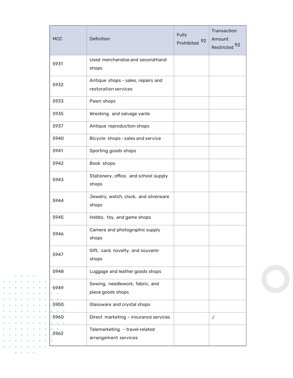| <b>MCC</b> | Definition                                                 | <b>Fully</b><br>92<br>Prohibited | Transaction<br>Amount<br>92<br>Restricted |
|------------|------------------------------------------------------------|----------------------------------|-------------------------------------------|
| 5931       | Used merchandise and second-hand<br>shops                  |                                  |                                           |
| 5932       | Antique shops - sales, repairs and<br>restoration services |                                  |                                           |
| 5933       | Pawn shops                                                 |                                  |                                           |
| 5935       | Wrecking and salvage yards                                 |                                  |                                           |
| 5937       | Antique reproduction shops                                 |                                  |                                           |
| 5940       | Bicycle shops-sales and service                            |                                  |                                           |
| 5941       | Sporting goods shops                                       |                                  |                                           |
| 5942       | Book shops                                                 |                                  |                                           |
| 5943       | Stationery, office, and school supply<br>shops             |                                  |                                           |
| 5944       | Jewelry, watch, clock, and silverware<br>shops             |                                  |                                           |
| 5945       | Hobby, toy, and game shops                                 |                                  |                                           |
| 5946       | Camera and photographic supply<br>shops                    |                                  |                                           |
| 5947       | Gift, card, novelty, and souvenir<br>shops                 |                                  |                                           |
| 5948       | Luggage and leather goods shops                            |                                  |                                           |
| 5949       | Sewing, needlework, fabric, and<br>piece goods shops       |                                  |                                           |
| 5950       | Glassware and crystal shops                                |                                  |                                           |
| 5960       | Direct marketing - insurance services                      |                                  | $\checkmark$                              |
| 5962       | Telemarketing - travel-related<br>arrangement services     |                                  |                                           |

 $\begin{array}{cccccccccc} \bullet & \bullet & \bullet & \bullet & \bullet & \bullet \end{array}$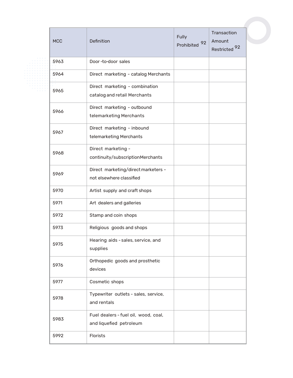| <b>MCC</b> | Definition                                                      | Fully<br>92<br>Prohibited | Transaction<br>Amount<br>Restricted <sup>92</sup> |
|------------|-----------------------------------------------------------------|---------------------------|---------------------------------------------------|
| 5963       | Door-to-door sales                                              |                           |                                                   |
| 5964       | Direct marketing - catalog Merchants                            |                           |                                                   |
| 5965       | Direct marketing - combination<br>catalog and retail Merchants  |                           |                                                   |
| 5966       | Direct marketing - outbound<br>telemarketing Merchants          |                           |                                                   |
| 5967       | Direct marketing - inbound<br>telemarketing Merchants           |                           |                                                   |
| 5968       | Direct marketing -<br>continuity/subscriptionMerchants          |                           |                                                   |
| 5969       | Direct marketing/direct marketers -<br>not elsewhere classified |                           |                                                   |
| 5970       | Artist supply and craft shops                                   |                           |                                                   |
| 5971       | Art dealers and galleries                                       |                           |                                                   |
| 5972       | Stamp and coin shops                                            |                           |                                                   |
| 5973       | Religious goods and shops                                       |                           |                                                   |
| 5975       | Hearing aids - sales, service, and<br>supplies                  |                           |                                                   |
| 5976       | Orthopedic goods and prosthetic<br>devices                      |                           |                                                   |
| 5977       | Cosmetic shops                                                  |                           |                                                   |
| 5978       | Typewriter outlets - sales, service,<br>and rentals             |                           |                                                   |
| 5983       | Fuel dealers - fuel oil, wood, coal,<br>and liquefied petroleum |                           |                                                   |
| 5992       | Florists                                                        |                           |                                                   |
|            |                                                                 |                           |                                                   |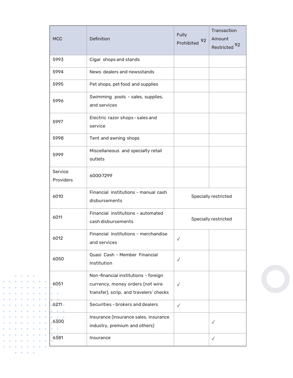| <b>MCC</b>           | Definition                                                                                                          | Fully<br>92<br>Prohibited | Transaction<br>Amount<br>Restricted <sup>92</sup> |
|----------------------|---------------------------------------------------------------------------------------------------------------------|---------------------------|---------------------------------------------------|
| 5993                 | Cigar shops and stands                                                                                              |                           |                                                   |
| 5994                 | News dealers and newsstands                                                                                         |                           |                                                   |
| 5995                 | Pet shops, pet food and supplies                                                                                    |                           |                                                   |
| 5996                 | Swimming pools - sales, supplies,<br>and services                                                                   |                           |                                                   |
| 5997                 | Electric razor shops - sales and<br>service                                                                         |                           |                                                   |
| 5998                 | Tent and awning shops                                                                                               |                           |                                                   |
| 5999                 | Miscellaneous and specialty retail<br>outlets                                                                       |                           |                                                   |
| Service<br>Providers | 6000-7299                                                                                                           |                           |                                                   |
| 6010                 | Financial institutions - manual cash<br>disbursements                                                               |                           | Specially restricted                              |
| 6011                 | Financial institutions - automated<br>cash disbursements                                                            |                           | Specially restricted                              |
| 6012                 | Financial institutions - merchandise<br>and services                                                                | $\checkmark$              |                                                   |
| 6050                 | Quasi Cash - Member Financial<br>Institution                                                                        | $\checkmark$              |                                                   |
| 6051                 | Non-financial institutions - foreign<br>currency, money orders (not wire<br>transfer), scrip, and travelers' checks | $\checkmark$              |                                                   |
| $6211 -$             | Securities - brokers and dealers                                                                                    | $\checkmark$              |                                                   |
| 6300                 | Insurance (insurance sales, insurance<br>industry, premium and others)                                              |                           | $\checkmark$                                      |
| 6381                 | Insurance                                                                                                           |                           | $\checkmark$                                      |

 $\begin{array}{cccccccccc} \bullet & \bullet & \bullet & \bullet & \bullet & \bullet \end{array}$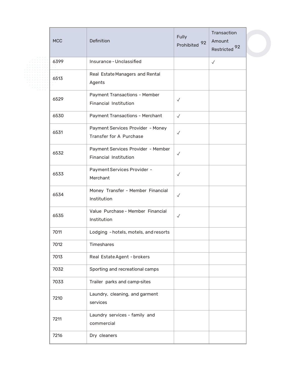| <b>MCC</b> | Definition                                                          | Fully<br>Prohibited 92 | Transaction<br>Amount<br>Restricted <sup>92</sup> |  |
|------------|---------------------------------------------------------------------|------------------------|---------------------------------------------------|--|
| 6399       | Insurance - Unclassified                                            |                        | $\checkmark$                                      |  |
| 6513       | Real Estate Managers and Rental<br>Agents                           |                        |                                                   |  |
| 6529       | Payment Transactions - Member<br>Financial Institution              | $\checkmark$           |                                                   |  |
| 6530       | Payment Transactions - Merchant                                     | $\checkmark$           |                                                   |  |
| 6531       | Payment Services Provider - Money<br><b>Transfer for A Purchase</b> | $\checkmark$           |                                                   |  |
| 6532       | Payment Services Provider - Member<br>Financial Institution         | $\checkmark$           |                                                   |  |
| 6533       | Payment Services Provider -<br>Merchant                             | $\checkmark$           |                                                   |  |
| 6534       | Money Transfer - Member Financial<br>Institution                    | $\checkmark$           |                                                   |  |
| 6535       | Value Purchase - Member Financial<br>Institution                    | $\checkmark$           |                                                   |  |
| 7011       | Lodging - hotels, motels, and resorts                               |                        |                                                   |  |
| 7012       | Timeshares                                                          |                        |                                                   |  |
| 7013       | Real Estate Agent - brokers                                         |                        |                                                   |  |
| 7032       | Sporting and recreational camps                                     |                        |                                                   |  |
| 7033       | Trailer parks and camp-sites                                        |                        |                                                   |  |
| 7210       | Laundry, cleaning, and garment<br>services                          |                        |                                                   |  |
| 7211       | Laundry services - family and<br>commercial                         |                        |                                                   |  |
| 7216       | Dry cleaners                                                        |                        |                                                   |  |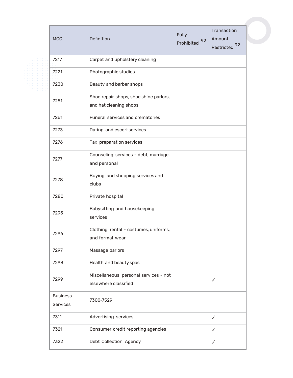|  | <b>MCC</b>                  | Definition                                                       | Fully<br>92<br>Prohibited | Transaction<br>Amount<br>Restricted <sup>92</sup> |
|--|-----------------------------|------------------------------------------------------------------|---------------------------|---------------------------------------------------|
|  | 7217                        | Carpet and upholstery cleaning                                   |                           |                                                   |
|  | 7221                        | Photographic studios                                             |                           |                                                   |
|  | 7230                        | Beauty and barber shops                                          |                           |                                                   |
|  | 7251                        | Shoe repair shops, shoe shine parlors,<br>and hat cleaning shops |                           |                                                   |
|  | 7261                        | Funeral services and crematories                                 |                           |                                                   |
|  | 7273                        | Dating and escort services                                       |                           |                                                   |
|  | 7276                        | Tax preparation services                                         |                           |                                                   |
|  | 7277                        | Counseling services - debt, marriage,<br>and personal            |                           |                                                   |
|  | 7278                        | Buying and shopping services and<br>clubs                        |                           |                                                   |
|  | 7280                        | Private hospital                                                 |                           |                                                   |
|  | 7295                        | Babysitting and housekeeping<br>services                         |                           |                                                   |
|  | 7296                        | Clothing rental - costumes, uniforms,<br>and formal wear         |                           |                                                   |
|  | 7297                        | Massage parlors                                                  |                           |                                                   |
|  | 7298                        | Health and beauty spas                                           |                           |                                                   |
|  | 7299                        | Miscellaneous personal services - not<br>elsewhere classified    |                           | $\checkmark$                                      |
|  | <b>Business</b><br>Services | 7300-7529                                                        |                           |                                                   |
|  | 7311                        | Advertising services                                             |                           | $\checkmark$                                      |
|  | 7321                        | Consumer credit reporting agencies                               |                           | $\checkmark$                                      |
|  | 7322                        | Debt Collection Agency                                           |                           | $\checkmark$                                      |
|  |                             |                                                                  |                           |                                                   |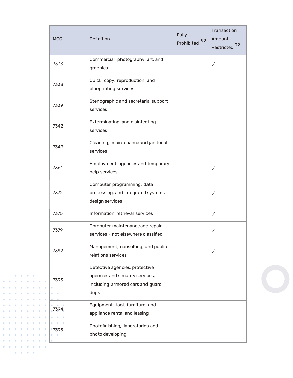| <b>MCC</b> | Definition                                                                                                    | Fully<br>92<br>Prohibited | Transaction<br>Amount<br>Restricted <sup>92</sup> |
|------------|---------------------------------------------------------------------------------------------------------------|---------------------------|---------------------------------------------------|
| 7333       | Commercial photography, art, and<br>graphics                                                                  |                           | $\checkmark$                                      |
| 7338       | Quick copy, reproduction, and<br>blueprinting services                                                        |                           |                                                   |
| 7339       | Stenographic and secretarial support<br>services                                                              |                           |                                                   |
| 7342       | Exterminating and disinfecting<br>services                                                                    |                           |                                                   |
| 7349       | Cleaning, maintenance and janitorial<br>services                                                              |                           |                                                   |
| 7361       | Employment agencies and temporary<br>help services                                                            |                           | $\checkmark$                                      |
| 7372       | Computer programming, data<br>processing, and integrated systems<br>design services                           |                           | $\checkmark$                                      |
| 7375       | Information retrieval services                                                                                |                           | $\checkmark$                                      |
| 7379       | Computer maintenance and repair<br>services - not elsewhere classified                                        |                           | $\checkmark$                                      |
| 7392       | Management, consulting, and public<br>relations services                                                      |                           | $\checkmark$                                      |
| 7393       | Detective agencies, protective<br>agencies and security services,<br>including armored cars and guard<br>dogs |                           |                                                   |
| 7394       | Equipment, tool, furniture, and<br>appliance rental and leasing                                               |                           |                                                   |
| 7395       | Photofinishing, laboratories and<br>photo developing                                                          |                           |                                                   |

 $\begin{array}{cccccccccc} \bullet & \bullet & \bullet & \bullet & \bullet & \bullet \end{array}$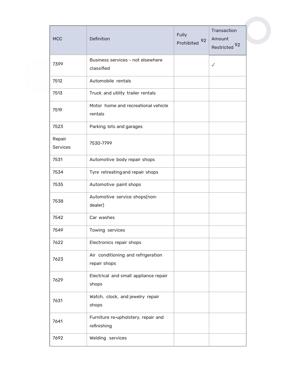| <b>MCC</b>                | Definition                                         | Fully<br>92<br>Prohibited | Transaction<br>Amount<br>Restricted <sup>92</sup> |
|---------------------------|----------------------------------------------------|---------------------------|---------------------------------------------------|
| 7399                      | Business services - not elsewhere<br>classified    |                           | $\sqrt{}$                                         |
| 7512                      | Automobile rentals                                 |                           |                                                   |
| 7513                      | Truck and utility trailer rentals                  |                           |                                                   |
| 7519                      | Motor home and recreational vehicle<br>rentals     |                           |                                                   |
| 7523                      | Parking lots and garages                           |                           |                                                   |
| Repair<br><b>Services</b> | 7530-7799                                          |                           |                                                   |
| 7531                      | Automotive body repair shops                       |                           |                                                   |
| 7534                      | Tyre retreating and repair shops                   |                           |                                                   |
| 7535                      | Automotive paint shops                             |                           |                                                   |
| 7538                      | Automotive service shops(non-<br>dealer)           |                           |                                                   |
| 7542                      | Car washes                                         |                           |                                                   |
| 7549                      | Towing services                                    |                           |                                                   |
| 7622                      | Electronics repair shops                           |                           |                                                   |
| 7623                      | Air conditioning and refrigeration<br>repair shops |                           |                                                   |
| 7629                      | Electrical and small appliance repair<br>shops     |                           |                                                   |
| 7631                      | Watch, clock, and jewelry repair<br>shops          |                           |                                                   |
| 7641                      | Furniture re-upholstery, repair and<br>refinishing |                           |                                                   |
| 7692                      | Welding services                                   |                           |                                                   |
|                           |                                                    |                           |                                                   |

 $\begin{array}{c} \n 1.11 \\
1.11 \\
1.11 \\
1.11 \\
1.11 \\
1.11 \\
1.11 \\
1.11 \\
1.11 \\
1.11 \\
1.11 \\
1.11 \\
1.11 \\
1.11 \\
1.11 \\
1.11 \\
1.11 \\
1.11 \\
1.11 \\
1.11 \\
1.11 \\
1.11 \\
1.11 \\
1.11 \\
1.11 \\
1.11 \\
1.11 \\
1.11 \\
1.11 \\
1.11 \\
1.11 \\
1.11 \\
1.11 \\
1.11 \\
1.11 \\$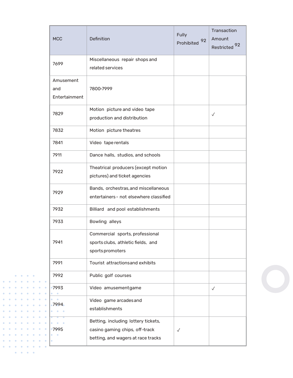| <b>MCC</b>                        | Definition                                                                                                  | <b>Fully</b><br>92<br>Prohibited | Transaction<br>Amount<br>Restricted <sup>92</sup> |
|-----------------------------------|-------------------------------------------------------------------------------------------------------------|----------------------------------|---------------------------------------------------|
| 7699                              | Miscellaneous repair shops and<br>related services                                                          |                                  |                                                   |
| Amusement<br>and<br>Entertainment | 7800-7999                                                                                                   |                                  |                                                   |
| 7829                              | Motion picture and video tape<br>production and distribution                                                |                                  | $\checkmark$                                      |
| 7832                              | Motion picture theatres                                                                                     |                                  |                                                   |
| 7841                              | Video tape rentals                                                                                          |                                  |                                                   |
| 7911                              | Dance halls, studios, and schools                                                                           |                                  |                                                   |
| 7922                              | Theatrical producers (except motion<br>pictures) and ticket agencies                                        |                                  |                                                   |
| 7929                              | Bands, orchestras, and miscellaneous<br>entertainers - not elsewhere classified                             |                                  |                                                   |
| 7932                              | Billiard and pool establishments                                                                            |                                  |                                                   |
| 7933                              | Bowling alleys                                                                                              |                                  |                                                   |
| 7941                              | Commercial sports, professional<br>sports clubs, athletic fields, and<br>sports promoters                   |                                  |                                                   |
| 7991                              | Tourist attractionsand exhibits                                                                             |                                  |                                                   |
| 7992                              | Public golf courses                                                                                         |                                  |                                                   |
| 7993<br>$\bullet$                 | Video amusementgame                                                                                         |                                  | $\checkmark$                                      |
| $\bullet$<br>$-7994$              | Video game arcades and<br>establishments                                                                    |                                  |                                                   |
| 7995                              | Betting, including lottery tickets,<br>casino gaming chips, off-track<br>betting, and wagers at race tracks | $\checkmark$                     |                                                   |

 $\begin{array}{cccccccccc} \bullet & \bullet & \bullet & \bullet & \bullet & \bullet \end{array}$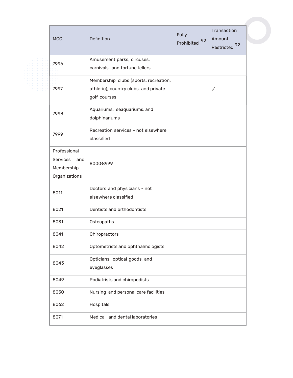|  | <b>MCC</b>                                                            | Definition                                                                                     | Fully<br>92<br>Prohibited | Transaction<br>Amount<br>Restricted <sup>92</sup> |
|--|-----------------------------------------------------------------------|------------------------------------------------------------------------------------------------|---------------------------|---------------------------------------------------|
|  | 7996                                                                  | Amusement parks, circuses,<br>carnivals, and fortune tellers                                   |                           |                                                   |
|  | 7997                                                                  | Membership clubs (sports, recreation,<br>athletic), country clubs, and private<br>golf courses |                           | $\checkmark$                                      |
|  | 7998                                                                  | Aquariums, seaquariums, and<br>dolphinariums                                                   |                           |                                                   |
|  | 7999                                                                  | Recreation services - not elsewhere<br>classified                                              |                           |                                                   |
|  | Professional<br><b>Services</b><br>and<br>Membership<br>Organizations | 8000-8999                                                                                      |                           |                                                   |
|  | 8011                                                                  | Doctors and physicians - not<br>elsewhere classified                                           |                           |                                                   |
|  | 8021                                                                  | Dentists and orthodontists                                                                     |                           |                                                   |
|  | 8031                                                                  | Osteopaths                                                                                     |                           |                                                   |
|  | 8041                                                                  | Chiropractors                                                                                  |                           |                                                   |
|  | 8042                                                                  | Optometrists and ophthalmologists                                                              |                           |                                                   |
|  | 8043                                                                  | Opticians, optical goods, and<br>eyeglasses                                                    |                           |                                                   |
|  | 8049                                                                  | Podiatrists and chiropodists                                                                   |                           |                                                   |
|  | 8050                                                                  | Nursing and personal care facilities                                                           |                           |                                                   |
|  | 8062                                                                  | Hospitals                                                                                      |                           |                                                   |
|  | 8071                                                                  | Medical and dental laboratories                                                                |                           |                                                   |
|  |                                                                       |                                                                                                |                           |                                                   |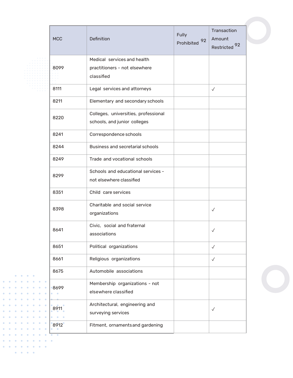|  | <b>MCC</b> | Definition                           | Fully<br>92<br>Prohibited | Transaction<br>Amount<br>Restricted <sup>92</sup> |
|--|------------|--------------------------------------|---------------------------|---------------------------------------------------|
|  |            | Medical services and health          |                           |                                                   |
|  | 8099       | practitioners - not elsewhere        |                           |                                                   |
|  |            | classified                           |                           |                                                   |
|  | 8111       | Legal services and attorneys         |                           | $\checkmark$                                      |
|  | 8211       | Elementary and secondary schools     |                           |                                                   |
|  | 8220       | Colleges, universities, professional |                           |                                                   |
|  |            | schools, and junior colleges         |                           |                                                   |
|  | 8241       | Correspondence schools               |                           |                                                   |
|  | 8244       | Business and secretarial schools     |                           |                                                   |
|  | 8249       | Trade and vocational schools         |                           |                                                   |
|  | 8299       | Schools and educational services -   |                           |                                                   |
|  |            | not elsewhere classified             |                           |                                                   |
|  | 8351       | Child care services                  |                           |                                                   |
|  | 8398       | Charitable and social service        |                           |                                                   |
|  |            | organizations                        |                           | $\checkmark$                                      |
|  | 8641       | Civic, social and fraternal          |                           |                                                   |
|  |            | associations                         |                           | $\checkmark$                                      |
|  | 8651       | Political organizations              |                           | $\checkmark$                                      |
|  | 8661       | Religious organizations              |                           | $\checkmark$                                      |
|  | 8675       | Automobile associations              |                           |                                                   |
|  | 8699       | Membership organizations - not       |                           |                                                   |
|  |            | elsewhere classified                 |                           |                                                   |
|  | 8911       | Architectural, engineering and       |                           | $\checkmark$                                      |
|  |            | surveying services                   |                           |                                                   |
|  | 8912       | Fitment, ornaments and gardening     |                           |                                                   |

 $\bullet$  .  $\bullet$ 

 $\bullet$ 

 $\bullet$  $\bullet$ 

 $\bullet$  $\bullet$  $\hat{\mathbf{a}}$ 

 $\bullet$  .  $\bullet$  $\bullet$  ,  $\bullet$  ,  $\bullet$  .

 $\bullet$ 

 $\bullet$  $\bullet$  ö

 $\bullet$ 

٠

 $\bullet$  .  $\bullet$ 

 $\hat{\mathbf{e}}$ 

 $\bullet$  $\bullet$  $\hat{\textbf{z}}$  $\hat{\bullet}$ 

 $\bullet$ 

 $\bullet$ 

 $\bullet$ 

 $\bullet$ 

 $\bullet$ 

 $\ddot{\bullet}$  $\bullet$  $\bullet$ ٠  $\bullet$  $\bullet$  $\ddot{\phantom{0}}$ 

 $\bullet$  $\bullet$  $\bullet$ 

 $\hat{\bullet}$ 

 $\bullet$  $\bullet$  $\bullet$